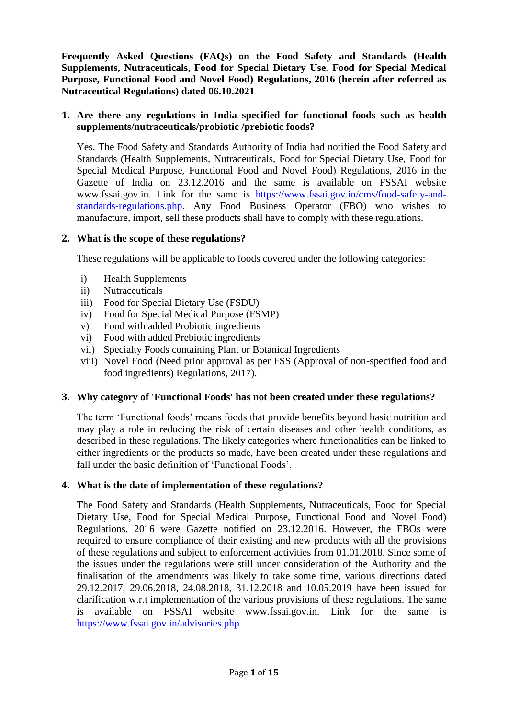**Frequently Asked Questions (FAQs) on the Food Safety and Standards (Health Supplements, Nutraceuticals, Food for Special Dietary Use, Food for Special Medical Purpose, Functional Food and Novel Food) Regulations, 2016 (herein after referred as Nutraceutical Regulations) dated 06.10.2021**

# **1. Are there any regulations in India specified for functional foods such as health supplements/nutraceuticals/probiotic /prebiotic foods?**

Yes. The Food Safety and Standards Authority of India had notified the Food Safety and Standards (Health Supplements, Nutraceuticals, Food for Special Dietary Use, Food for Special Medical Purpose, Functional Food and Novel Food) Regulations, 2016 in the Gazette of India on 23.12.2016 and the same is available on FSSAI website www.fssai.gov.in. Link for the same is [https://www.fssai.gov.in/cms/food-safety-and](https://www.fssai.gov.in/cms/food-safety-and-standards-regulations.php)[standards-regulations.php.](https://www.fssai.gov.in/cms/food-safety-and-standards-regulations.php) Any Food Business Operator (FBO) who wishes to manufacture, import, sell these products shall have to comply with these regulations.

# **2. What is the scope of these regulations?**

These regulations will be applicable to foods covered under the following categories:

- i) Health Supplements
- ii) Nutraceuticals
- iii) Food for Special Dietary Use (FSDU)
- iv) Food for Special Medical Purpose (FSMP)
- v) Food with added Probiotic ingredients
- vi) Food with added Prebiotic ingredients
- vii) Specialty Foods containing Plant or Botanical Ingredients
- viii) Novel Food (Need prior approval as per FSS (Approval of non-specified food and food ingredients) Regulations, 2017).

#### **3. Why category of 'Functional Foods' has not been created under these regulations?**

The term "Functional foods" means foods that provide benefits beyond basic nutrition and may play a role in reducing the risk of certain diseases and other health conditions, as described in these regulations. The likely categories where functionalities can be linked to either ingredients or the products so made, have been created under these regulations and fall under the basic definition of "Functional Foods".

#### **4. What is the date of implementation of these regulations?**

The Food Safety and Standards (Health Supplements, Nutraceuticals, Food for Special Dietary Use, Food for Special Medical Purpose, Functional Food and Novel Food) Regulations, 2016 were Gazette notified on 23.12.2016. However, the FBOs were required to ensure compliance of their existing and new products with all the provisions of these regulations and subject to enforcement activities from 01.01.2018. Since some of the issues under the regulations were still under consideration of the Authority and the finalisation of the amendments was likely to take some time, various directions dated 29.12.2017, 29.06.2018, 24.08.2018, 31.12.2018 and 10.05.2019 have been issued for clarification w.r.t implementation of the various provisions of these regulations. The same is available on FSSAI website www.fssai.gov.in. Link for the same is <https://www.fssai.gov.in/advisories.php>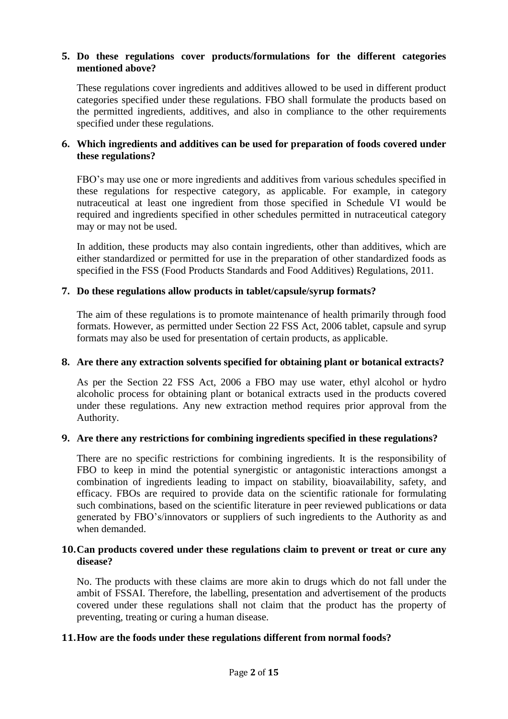# **5. Do these regulations cover products/formulations for the different categories mentioned above?**

These regulations cover ingredients and additives allowed to be used in different product categories specified under these regulations. FBO shall formulate the products based on the permitted ingredients, additives, and also in compliance to the other requirements specified under these regulations.

# **6. Which ingredients and additives can be used for preparation of foods covered under these regulations?**

FBO"s may use one or more ingredients and additives from various schedules specified in these regulations for respective category, as applicable. For example, in category nutraceutical at least one ingredient from those specified in Schedule VI would be required and ingredients specified in other schedules permitted in nutraceutical category may or may not be used.

In addition, these products may also contain ingredients, other than additives, which are either standardized or permitted for use in the preparation of other standardized foods as specified in the FSS (Food Products Standards and Food Additives) Regulations, 2011.

## **7. Do these regulations allow products in tablet/capsule/syrup formats?**

The aim of these regulations is to promote maintenance of health primarily through food formats. However, as permitted under Section 22 FSS Act, 2006 tablet, capsule and syrup formats may also be used for presentation of certain products, as applicable.

#### **8. Are there any extraction solvents specified for obtaining plant or botanical extracts?**

As per the Section 22 FSS Act, 2006 a FBO may use water, ethyl alcohol or hydro alcoholic process for obtaining plant or botanical extracts used in the products covered under these regulations. Any new extraction method requires prior approval from the Authority.

#### **9. Are there any restrictions for combining ingredients specified in these regulations?**

There are no specific restrictions for combining ingredients. It is the responsibility of FBO to keep in mind the potential synergistic or antagonistic interactions amongst a combination of ingredients leading to impact on stability, bioavailability, safety, and efficacy. FBOs are required to provide data on the scientific rationale for formulating such combinations, based on the scientific literature in peer reviewed publications or data generated by FBO"s/innovators or suppliers of such ingredients to the Authority as and when demanded.

#### **10.Can products covered under these regulations claim to prevent or treat or cure any disease?**

No. The products with these claims are more akin to drugs which do not fall under the ambit of FSSAI. Therefore, the labelling, presentation and advertisement of the products covered under these regulations shall not claim that the product has the property of preventing, treating or curing a human disease.

# **11.How are the foods under these regulations different from normal foods?**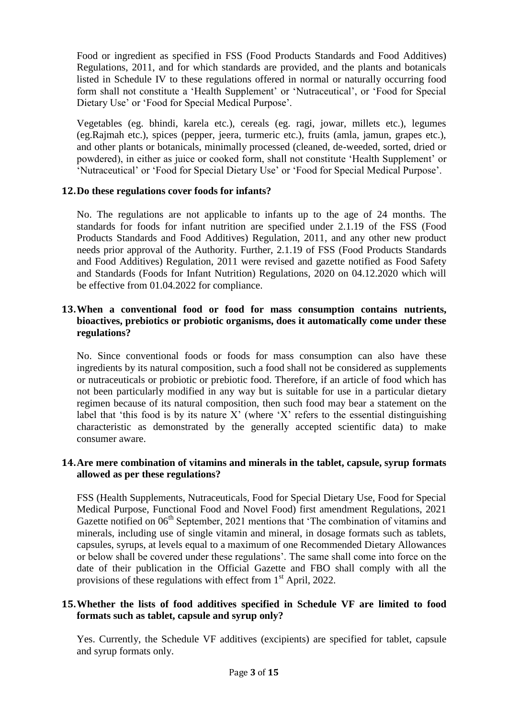Food or ingredient as specified in FSS (Food Products Standards and Food Additives) Regulations, 2011, and for which standards are provided, and the plants and botanicals listed in Schedule IV to these regulations offered in normal or naturally occurring food form shall not constitute a 'Health Supplement' or 'Nutraceutical', or 'Food for Special Dietary Use' or 'Food for Special Medical Purpose'.

Vegetables (eg. bhindi, karela etc.), cereals (eg. ragi, jowar, millets etc.), legumes (eg.Rajmah etc.), spices (pepper, jeera, turmeric etc.), fruits (amla, jamun, grapes etc.), and other plants or botanicals, minimally processed (cleaned, de-weeded, sorted, dried or powdered), in either as juice or cooked form, shall not constitute "Health Supplement" or "Nutraceutical" or "Food for Special Dietary Use" or "Food for Special Medical Purpose".

## **12.Do these regulations cover foods for infants?**

No. The regulations are not applicable to infants up to the age of 24 months. The standards for foods for infant nutrition are specified under 2.1.19 of the FSS (Food Products Standards and Food Additives) Regulation, 2011, and any other new product needs prior approval of the Authority. Further, 2.1.19 of FSS (Food Products Standards and Food Additives) Regulation, 2011 were revised and gazette notified as Food Safety and Standards (Foods for Infant Nutrition) Regulations, 2020 on 04.12.2020 which will be effective from 01.04.2022 for compliance.

## **13.When a conventional food or food for mass consumption contains nutrients, bioactives, prebiotics or probiotic organisms, does it automatically come under these regulations?**

No. Since conventional foods or foods for mass consumption can also have these ingredients by its natural composition, such a food shall not be considered as supplements or nutraceuticals or probiotic or prebiotic food. Therefore, if an article of food which has not been particularly modified in any way but is suitable for use in a particular dietary regimen because of its natural composition, then such food may bear a statement on the label that 'this food is by its nature  $X'$  (where 'X' refers to the essential distinguishing characteristic as demonstrated by the generally accepted scientific data) to make consumer aware.

## **14.Are mere combination of vitamins and minerals in the tablet, capsule, syrup formats allowed as per these regulations?**

FSS (Health Supplements, Nutraceuticals, Food for Special Dietary Use, Food for Special Medical Purpose, Functional Food and Novel Food) first amendment Regulations, 2021 Gazette notified on 06<sup>th</sup> September, 2021 mentions that 'The combination of vitamins and minerals, including use of single vitamin and mineral, in dosage formats such as tablets, capsules, syrups, at levels equal to a maximum of one Recommended Dietary Allowances or below shall be covered under these regulations". The same shall come into force on the date of their publication in the Official Gazette and FBO shall comply with all the provisions of these regulations with effect from  $1<sup>st</sup>$  April, 2022.

## **15.Whether the lists of food additives specified in Schedule VF are limited to food formats such as tablet, capsule and syrup only?**

Yes. Currently, the Schedule VF additives (excipients) are specified for tablet, capsule and syrup formats only.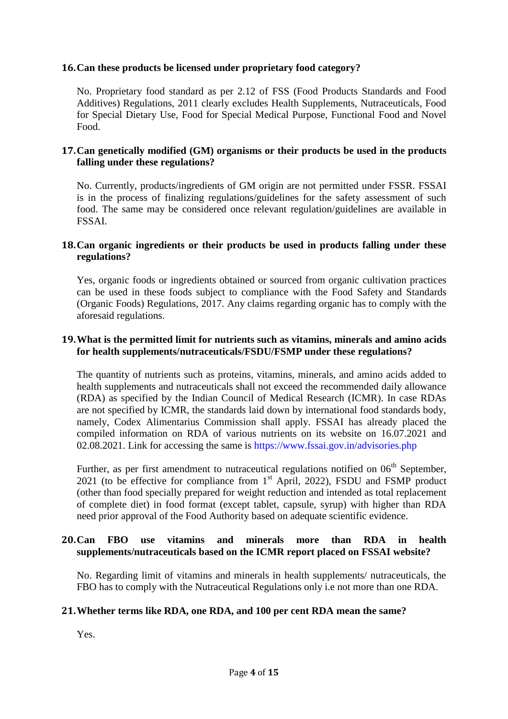# **16.Can these products be licensed under proprietary food category?**

No. Proprietary food standard as per 2.12 of FSS (Food Products Standards and Food Additives) Regulations, 2011 clearly excludes Health Supplements, Nutraceuticals, Food for Special Dietary Use, Food for Special Medical Purpose, Functional Food and Novel Food.

#### **17.Can genetically modified (GM) organisms or their products be used in the products falling under these regulations?**

No. Currently, products/ingredients of GM origin are not permitted under FSSR. FSSAI is in the process of finalizing regulations/guidelines for the safety assessment of such food. The same may be considered once relevant regulation/guidelines are available in FSSAI.

#### **18.Can organic ingredients or their products be used in products falling under these regulations?**

Yes, organic foods or ingredients obtained or sourced from organic cultivation practices can be used in these foods subject to compliance with the Food Safety and Standards (Organic Foods) Regulations, 2017. Any claims regarding organic has to comply with the aforesaid regulations.

#### **19.What is the permitted limit for nutrients such as vitamins, minerals and amino acids for health supplements/nutraceuticals/FSDU/FSMP under these regulations?**

The quantity of nutrients such as proteins, vitamins, minerals, and amino acids added to health supplements and nutraceuticals shall not exceed the recommended daily allowance (RDA) as specified by the Indian Council of Medical Research (ICMR). In case RDAs are not specified by ICMR, the standards laid down by international food standards body, namely, Codex Alimentarius Commission shall apply. FSSAI has already placed the compiled information on RDA of various nutrients on its website on 16.07.2021 and 02.08.2021. Link for accessing the same is<https://www.fssai.gov.in/advisories.php>

Further, as per first amendment to nutraceutical regulations notified on  $06<sup>th</sup>$  September, 2021 (to be effective for compliance from  $1<sup>st</sup>$  April, 2022), FSDU and FSMP product (other than food specially prepared for weight reduction and intended as total replacement of complete diet) in food format (except tablet, capsule, syrup) with higher than RDA need prior approval of the Food Authority based on adequate scientific evidence.

## **20.Can FBO use vitamins and minerals more than RDA in health supplements/nutraceuticals based on the ICMR report placed on FSSAI website?**

No. Regarding limit of vitamins and minerals in health supplements/ nutraceuticals, the FBO has to comply with the Nutraceutical Regulations only i.e not more than one RDA.

#### **21.Whether terms like RDA, one RDA, and 100 per cent RDA mean the same?**

Yes.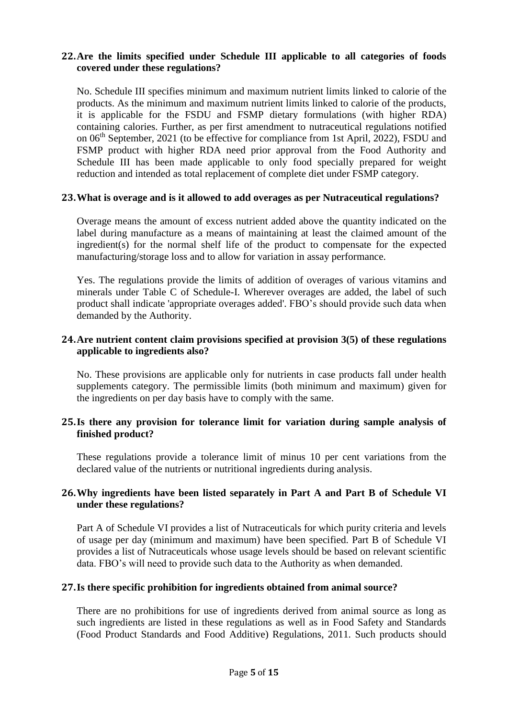# **22.Are the limits specified under Schedule III applicable to all categories of foods covered under these regulations?**

No. Schedule III specifies minimum and maximum nutrient limits linked to calorie of the products. As the minimum and maximum nutrient limits linked to calorie of the products, it is applicable for the FSDU and FSMP dietary formulations (with higher RDA) containing calories. Further, as per first amendment to nutraceutical regulations notified on  $06<sup>th</sup>$  September, 2021 (to be effective for compliance from 1st April, 2022), FSDU and FSMP product with higher RDA need prior approval from the Food Authority and Schedule III has been made applicable to only food specially prepared for weight reduction and intended as total replacement of complete diet under FSMP category.

## **23.What is overage and is it allowed to add overages as per Nutraceutical regulations?**

Overage means the amount of excess nutrient added above the quantity indicated on the label during manufacture as a means of maintaining at least the claimed amount of the ingredient(s) for the normal shelf life of the product to compensate for the expected manufacturing/storage loss and to allow for variation in assay performance.

Yes. The regulations provide the limits of addition of overages of various vitamins and minerals under Table C of Schedule-I. Wherever overages are added, the label of such product shall indicate 'appropriate overages added'. FBO"s should provide such data when demanded by the Authority.

# **24.Are nutrient content claim provisions specified at provision 3(5) of these regulations applicable to ingredients also?**

No. These provisions are applicable only for nutrients in case products fall under health supplements category. The permissible limits (both minimum and maximum) given for the ingredients on per day basis have to comply with the same.

## **25.Is there any provision for tolerance limit for variation during sample analysis of finished product?**

These regulations provide a tolerance limit of minus 10 per cent variations from the declared value of the nutrients or nutritional ingredients during analysis.

# **26.Why ingredients have been listed separately in Part A and Part B of Schedule VI under these regulations?**

Part A of Schedule VI provides a list of Nutraceuticals for which purity criteria and levels of usage per day (minimum and maximum) have been specified. Part B of Schedule VI provides a list of Nutraceuticals whose usage levels should be based on relevant scientific data. FBO"s will need to provide such data to the Authority as when demanded.

#### **27.Is there specific prohibition for ingredients obtained from animal source?**

There are no prohibitions for use of ingredients derived from animal source as long as such ingredients are listed in these regulations as well as in Food Safety and Standards (Food Product Standards and Food Additive) Regulations, 2011. Such products should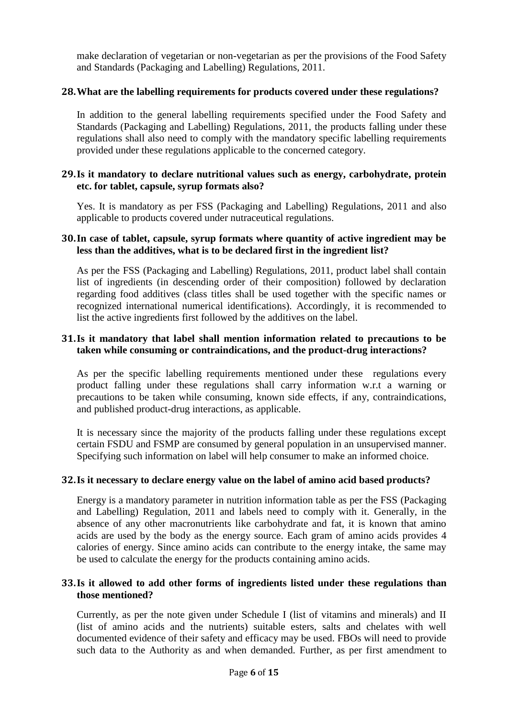make declaration of vegetarian or non-vegetarian as per the provisions of the Food Safety and Standards (Packaging and Labelling) Regulations, 2011.

## **28.What are the labelling requirements for products covered under these regulations?**

In addition to the general labelling requirements specified under the Food Safety and Standards (Packaging and Labelling) Regulations, 2011, the products falling under these regulations shall also need to comply with the mandatory specific labelling requirements provided under these regulations applicable to the concerned category.

## **29.Is it mandatory to declare nutritional values such as energy, carbohydrate, protein etc. for tablet, capsule, syrup formats also?**

Yes. It is mandatory as per FSS (Packaging and Labelling) Regulations, 2011 and also applicable to products covered under nutraceutical regulations.

## **30.In case of tablet, capsule, syrup formats where quantity of active ingredient may be less than the additives, what is to be declared first in the ingredient list?**

As per the FSS (Packaging and Labelling) Regulations, 2011, product label shall contain list of ingredients (in descending order of their composition) followed by declaration regarding food additives (class titles shall be used together with the specific names or recognized international numerical identifications). Accordingly, it is recommended to list the active ingredients first followed by the additives on the label.

## **31.Is it mandatory that label shall mention information related to precautions to be taken while consuming or contraindications, and the product-drug interactions?**

As per the specific labelling requirements mentioned under these regulations every product falling under these regulations shall carry information w.r.t a warning or precautions to be taken while consuming, known side effects, if any, contraindications, and published product-drug interactions, as applicable.

It is necessary since the majority of the products falling under these regulations except certain FSDU and FSMP are consumed by general population in an unsupervised manner. Specifying such information on label will help consumer to make an informed choice.

#### **32.Is it necessary to declare energy value on the label of amino acid based products?**

Energy is a mandatory parameter in nutrition information table as per the FSS (Packaging and Labelling) Regulation, 2011 and labels need to comply with it. Generally, in the absence of any other macronutrients like carbohydrate and fat, it is known that amino acids are used by the body as the energy source. Each gram of amino acids provides 4 calories of energy. Since amino acids can contribute to the energy intake, the same may be used to calculate the energy for the products containing amino acids.

## **33.Is it allowed to add other forms of ingredients listed under these regulations than those mentioned?**

Currently, as per the note given under Schedule I (list of vitamins and minerals) and II (list of amino acids and the nutrients) suitable esters, salts and chelates with well documented evidence of their safety and efficacy may be used. FBOs will need to provide such data to the Authority as and when demanded. Further, as per first amendment to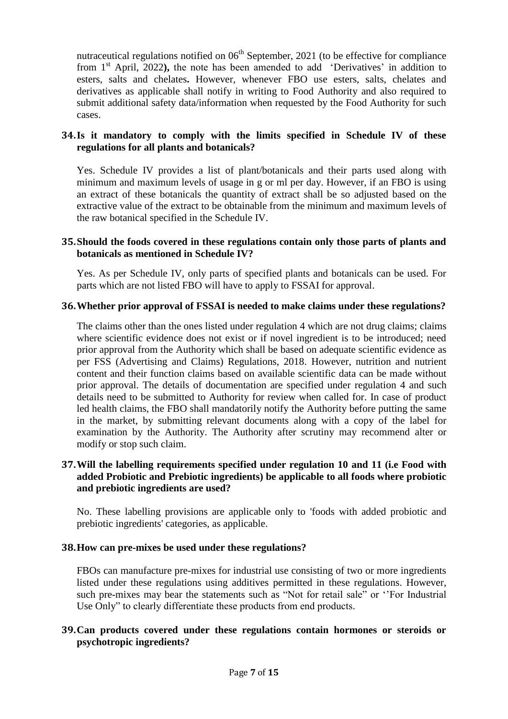nutraceutical regulations notified on  $06<sup>th</sup>$  September, 2021 (to be effective for compliance from 1<sup>st</sup> April, 2022), the note has been amended to add 'Derivatives' in addition to esters, salts and chelates**.** However, whenever FBO use esters, salts, chelates and derivatives as applicable shall notify in writing to Food Authority and also required to submit additional safety data/information when requested by the Food Authority for such cases.

# **34.Is it mandatory to comply with the limits specified in Schedule IV of these regulations for all plants and botanicals?**

Yes. Schedule IV provides a list of plant/botanicals and their parts used along with minimum and maximum levels of usage in g or ml per day. However, if an FBO is using an extract of these botanicals the quantity of extract shall be so adjusted based on the extractive value of the extract to be obtainable from the minimum and maximum levels of the raw botanical specified in the Schedule IV.

## **35.Should the foods covered in these regulations contain only those parts of plants and botanicals as mentioned in Schedule IV?**

Yes. As per Schedule IV, only parts of specified plants and botanicals can be used. For parts which are not listed FBO will have to apply to FSSAI for approval.

#### **36.Whether prior approval of FSSAI is needed to make claims under these regulations?**

The claims other than the ones listed under regulation 4 which are not drug claims; claims where scientific evidence does not exist or if novel ingredient is to be introduced; need prior approval from the Authority which shall be based on adequate scientific evidence as per FSS (Advertising and Claims) Regulations, 2018. However, nutrition and nutrient content and their function claims based on available scientific data can be made without prior approval. The details of documentation are specified under regulation 4 and such details need to be submitted to Authority for review when called for. In case of product led health claims, the FBO shall mandatorily notify the Authority before putting the same in the market, by submitting relevant documents along with a copy of the label for examination by the Authority. The Authority after scrutiny may recommend alter or modify or stop such claim.

## **37.Will the labelling requirements specified under regulation 10 and 11 (i.e Food with added Probiotic and Prebiotic ingredients) be applicable to all foods where probiotic and prebiotic ingredients are used?**

No. These labelling provisions are applicable only to 'foods with added probiotic and prebiotic ingredients' categories, as applicable.

#### **38.How can pre-mixes be used under these regulations?**

FBOs can manufacture pre-mixes for industrial use consisting of two or more ingredients listed under these regulations using additives permitted in these regulations. However, such pre-mixes may bear the statements such as "Not for retail sale" or ""For Industrial Use Only" to clearly differentiate these products from end products.

## **39.Can products covered under these regulations contain hormones or steroids or psychotropic ingredients?**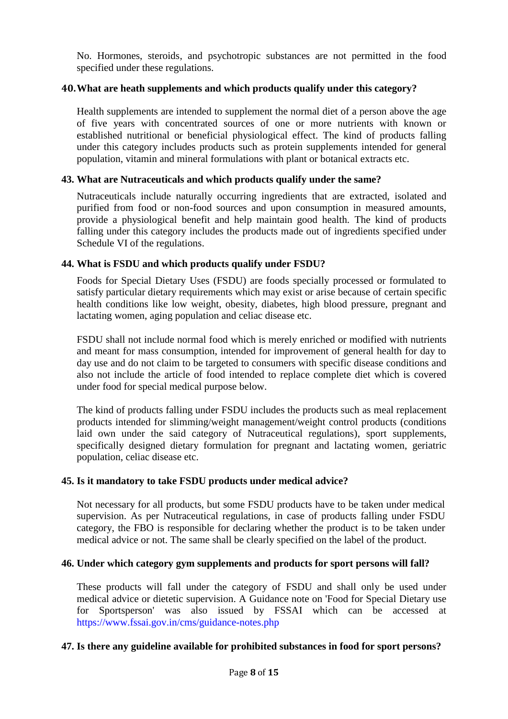No. Hormones, steroids, and psychotropic substances are not permitted in the food specified under these regulations.

## **40.What are heath supplements and which products qualify under this category?**

Health supplements are intended to supplement the normal diet of a person above the age of five years with concentrated sources of one or more nutrients with known or established nutritional or beneficial physiological effect. The kind of products falling under this category includes products such as protein supplements intended for general population, vitamin and mineral formulations with plant or botanical extracts etc.

#### **43. What are Nutraceuticals and which products qualify under the same?**

Nutraceuticals include naturally occurring ingredients that are extracted, isolated and purified from food or non-food sources and upon consumption in measured amounts, provide a physiological benefit and help maintain good health. The kind of products falling under this category includes the products made out of ingredients specified under Schedule VI of the regulations.

## **44. What is FSDU and which products qualify under FSDU?**

Foods for Special Dietary Uses (FSDU) are foods specially processed or formulated to satisfy particular dietary requirements which may exist or arise because of certain specific health conditions like low weight, obesity, diabetes, high blood pressure, pregnant and lactating women, aging population and celiac disease etc.

FSDU shall not include normal food which is merely enriched or modified with nutrients and meant for mass consumption, intended for improvement of general health for day to day use and do not claim to be targeted to consumers with specific disease conditions and also not include the article of food intended to replace complete diet which is covered under food for special medical purpose below.

The kind of products falling under FSDU includes the products such as meal replacement products intended for slimming/weight management/weight control products (conditions laid own under the said category of Nutraceutical regulations), sport supplements, specifically designed dietary formulation for pregnant and lactating women, geriatric population, celiac disease etc.

#### **45. Is it mandatory to take FSDU products under medical advice?**

Not necessary for all products, but some FSDU products have to be taken under medical supervision. As per Nutraceutical regulations, in case of products falling under FSDU category, the FBO is responsible for declaring whether the product is to be taken under medical advice or not. The same shall be clearly specified on the label of the product.

#### **46. Under which category gym supplements and products for sport persons will fall?**

These products will fall under the category of FSDU and shall only be used under medical advice or dietetic supervision. A Guidance note on 'Food for Special Dietary use for Sportsperson' was also issued by FSSAI which can be accessed at <https://www.fssai.gov.in/cms/guidance-notes.php>

#### **47. Is there any guideline available for prohibited substances in food for sport persons?**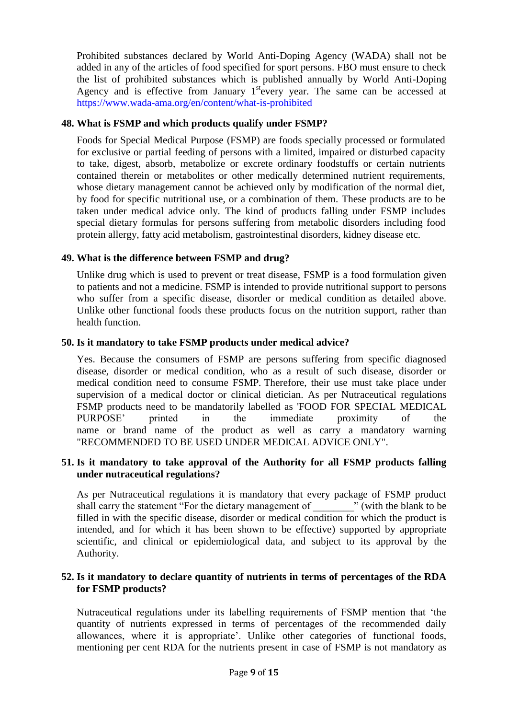Prohibited substances declared by World Anti-Doping Agency (WADA) shall not be added in any of the articles of food specified for sport persons. FBO must ensure to check the list of prohibited substances which is published annually by World Anti-Doping Agency and is effective from January 1<sup>st</sup>every year. The same can be accessed at <https://www.wada-ama.org/en/content/what-is-prohibited>

# **48. What is FSMP and which products qualify under FSMP?**

Foods for Special Medical Purpose (FSMP) are foods specially processed or formulated for exclusive or partial feeding of persons with a limited, impaired or disturbed capacity to take, digest, absorb, metabolize or excrete ordinary foodstuffs or certain nutrients contained therein or metabolites or other medically determined nutrient requirements, whose dietary management cannot be achieved only by modification of the normal diet, by food for specific nutritional use, or a combination of them. These products are to be taken under medical advice only. The kind of products falling under FSMP includes special dietary formulas for persons suffering from metabolic disorders including food protein allergy, fatty acid metabolism, gastrointestinal disorders, kidney disease etc.

## **49. What is the difference between FSMP and drug?**

Unlike drug which is used to prevent or treat disease, FSMP is a food formulation given to patients and not a medicine. FSMP is intended to provide nutritional support to persons who suffer from a specific disease, disorder or medical condition as detailed above. Unlike other functional foods these products focus on the nutrition support, rather than health function.

#### **50. Is it mandatory to take FSMP products under medical advice?**

Yes. Because the consumers of FSMP are persons suffering from specific diagnosed disease, disorder or medical condition, who as a result of such disease, disorder or medical condition need to consume FSMP*.* Therefore, their use must take place under supervision of a medical doctor or clinical dietician. As per Nutraceutical regulations FSMP products need to be mandatorily labelled as 'FOOD FOR SPECIAL MEDICAL PURPOSE" printed in the immediate proximity of the name or brand name of the product as well as carry a mandatory warning "RECOMMENDED TO BE USED UNDER MEDICAL ADVICE ONLY".

## **51. Is it mandatory to take approval of the Authority for all FSMP products falling under nutraceutical regulations?**

As per Nutraceutical regulations it is mandatory that every package of FSMP product shall carry the statement "For the dietary management of " (with the blank to be filled in with the specific disease, disorder or medical condition for which the product is intended, and for which it has been shown to be effective) supported by appropriate scientific, and clinical or epidemiological data, and subject to its approval by the Authority.

# **52. Is it mandatory to declare quantity of nutrients in terms of percentages of the RDA for FSMP products?**

Nutraceutical regulations under its labelling requirements of FSMP mention that "the quantity of nutrients expressed in terms of percentages of the recommended daily allowances, where it is appropriate". Unlike other categories of functional foods, mentioning per cent RDA for the nutrients present in case of FSMP is not mandatory as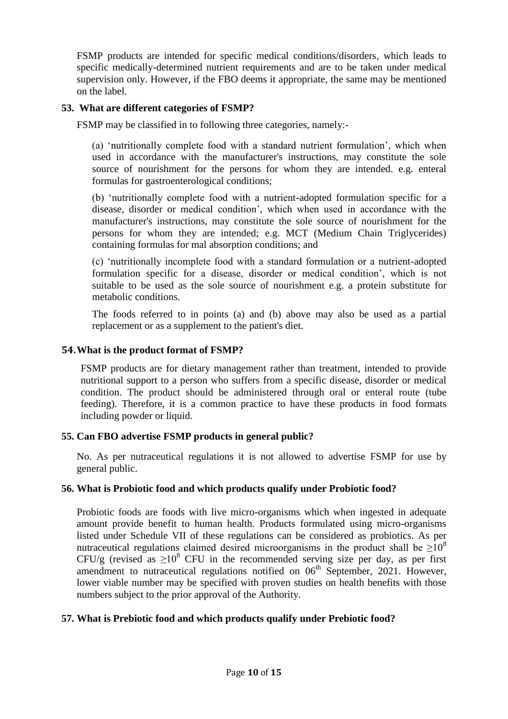FSMP products are intended for specific medical conditions/disorders, which leads to specific medically-determined nutrient requirements and are to be taken under medical supervision only. However, if the FBO deems it appropriate, the same may be mentioned on the label.

# **53. What are different categories of FSMP?**

FSMP may be classified in to following three categories, namely:-

(a) "nutritionally complete food with a standard nutrient formulation", which when used in accordance with the manufacturer's instructions, may constitute the sole source of nourishment for the persons for whom they are intended. e.g. enteral formulas for gastroenterological conditions;

(b) "nutritionally complete food with a nutrient-adopted formulation specific for a disease, disorder or medical condition", which when used in accordance with the manufacturer's instructions, may constitute the sole source of nourishment for the persons for whom they are intended; e.g. MCT (Medium Chain Triglycerides) containing formulas for mal absorption conditions; and

(c) "nutritionally incomplete food with a standard formulation or a nutrient-adopted formulation specific for a disease, disorder or medical condition", which is not suitable to be used as the sole source of nourishment e.g. a protein substitute for metabolic conditions.

The foods referred to in points (a) and (b) above may also be used as a partial replacement or as a supplement to the patient's diet.

## **54.What is the product format of FSMP?**

FSMP products are for dietary management rather than treatment, intended to provide nutritional support to a person who suffers from a specific disease, disorder or medical condition. The product should be administered through oral or enteral route (tube feeding). Therefore, it is a common practice to have these products in food formats including powder or liquid.

# **55. Can FBO advertise FSMP products in general public?**

No. As per nutraceutical regulations it is not allowed to advertise FSMP for use by general public.

# **56. What is Probiotic food and which products qualify under Probiotic food?**

Probiotic foods are foods with live micro-organisms which when ingested in adequate amount provide benefit to human health. Products formulated using micro-organisms listed under Schedule VII of these regulations can be considered as probiotics. As per nutraceutical regulations claimed desired microorganisms in the product shall be  $>10^8$ CFU/g (revised as  $\geq 10^8$  CFU in the recommended serving size per day, as per first amendment to nutraceutical regulations notified on  $06<sup>th</sup>$  September, 2021. However, lower viable number may be specified with proven studies on health benefits with those numbers subject to the prior approval of the Authority.

# **57. What is Prebiotic food and which products qualify under Prebiotic food?**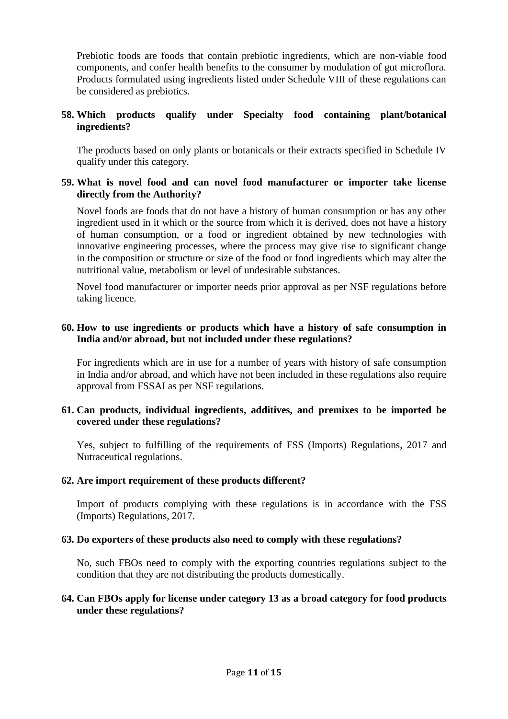Prebiotic foods are foods that contain prebiotic ingredients, which are non-viable food components, and confer health benefits to the consumer by modulation of gut microflora. Products formulated using ingredients listed under Schedule VIII of these regulations can be considered as prebiotics.

# **58. Which products qualify under Specialty food containing plant/botanical ingredients?**

The products based on only plants or botanicals or their extracts specified in Schedule IV qualify under this category.

## **59. What is novel food and can novel food manufacturer or importer take license directly from the Authority?**

Novel foods are foods that do not have a history of human consumption or has any other ingredient used in it which or the source from which it is derived, does not have a history of human consumption, or a food or ingredient obtained by new technologies with innovative engineering processes, where the process may give rise to significant change in the composition or structure or size of the food or food ingredients which may alter the nutritional value, metabolism or level of undesirable substances.

Novel food manufacturer or importer needs prior approval as per NSF regulations before taking licence.

#### **60. How to use ingredients or products which have a history of safe consumption in India and/or abroad, but not included under these regulations?**

For ingredients which are in use for a number of years with history of safe consumption in India and/or abroad, and which have not been included in these regulations also require approval from FSSAI as per NSF regulations.

## **61. Can products, individual ingredients, additives, and premixes to be imported be covered under these regulations?**

Yes, subject to fulfilling of the requirements of FSS (Imports) Regulations, 2017 and Nutraceutical regulations.

#### **62. Are import requirement of these products different?**

Import of products complying with these regulations is in accordance with the FSS (Imports) Regulations, 2017.

#### **63. Do exporters of these products also need to comply with these regulations?**

No, such FBOs need to comply with the exporting countries regulations subject to the condition that they are not distributing the products domestically.

## **64. Can FBOs apply for license under category 13 as a broad category for food products under these regulations?**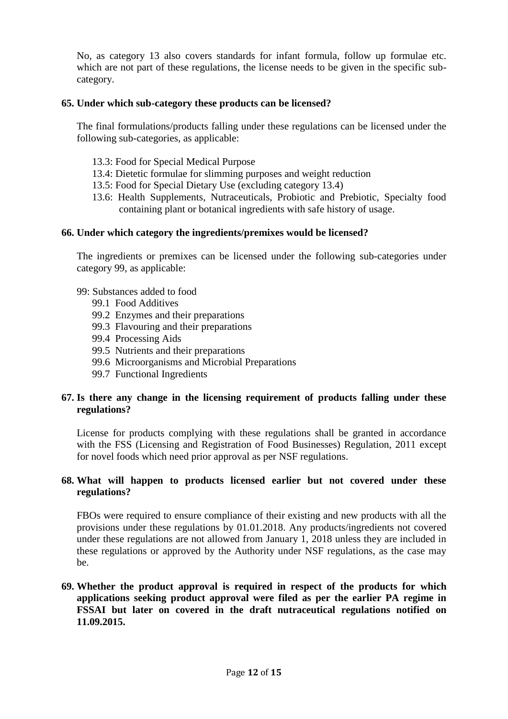No, as category 13 also covers standards for infant formula, follow up formulae etc. which are not part of these regulations, the license needs to be given in the specific subcategory.

## **65. Under which sub-category these products can be licensed?**

The final formulations/products falling under these regulations can be licensed under the following sub-categories, as applicable:

- 13.3: Food for Special Medical Purpose
- 13.4: Dietetic formulae for slimming purposes and weight reduction
- 13.5: Food for Special Dietary Use (excluding category 13.4)
- 13.6: Health Supplements, Nutraceuticals, Probiotic and Prebiotic, Specialty food containing plant or botanical ingredients with safe history of usage.

#### **66. Under which category the ingredients/premixes would be licensed?**

The ingredients or premixes can be licensed under the following sub-categories under category 99, as applicable:

- 99: Substances added to food
	- 99.1 Food Additives
	- 99.2 Enzymes and their preparations
	- 99.3 Flavouring and their preparations
	- 99.4 Processing Aids
	- 99.5 Nutrients and their preparations
	- 99.6 Microorganisms and Microbial Preparations
	- 99.7 Functional Ingredients

## **67. Is there any change in the licensing requirement of products falling under these regulations?**

License for products complying with these regulations shall be granted in accordance with the FSS (Licensing and Registration of Food Businesses) Regulation, 2011 except for novel foods which need prior approval as per NSF regulations.

## **68. What will happen to products licensed earlier but not covered under these regulations?**

FBOs were required to ensure compliance of their existing and new products with all the provisions under these regulations by 01.01.2018. Any products/ingredients not covered under these regulations are not allowed from January 1, 2018 unless they are included in these regulations or approved by the Authority under NSF regulations, as the case may be.

# **69. Whether the product approval is required in respect of the products for which applications seeking product approval were filed as per the earlier PA regime in FSSAI but later on covered in the draft nutraceutical regulations notified on 11.09.2015.**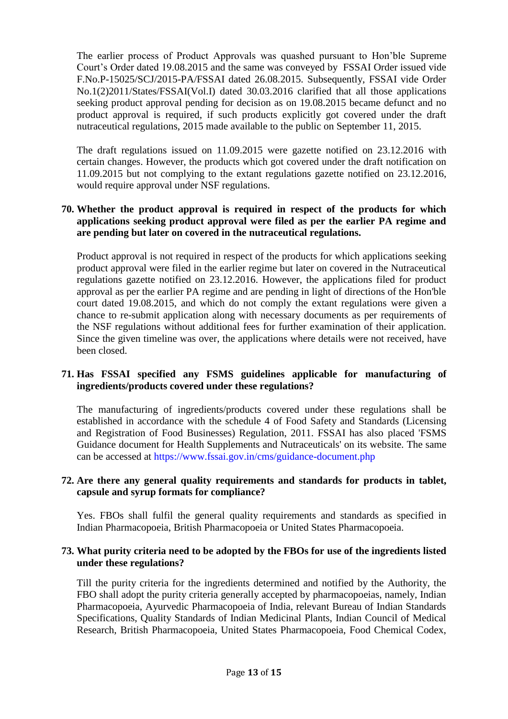The earlier process of Product Approvals was quashed pursuant to Hon"ble Supreme Court"s Order dated 19.08.2015 and the same was conveyed by FSSAI Order issued vide F.No.P-15025/SCJ/2015-PA/FSSAI dated 26.08.2015. Subsequently, FSSAI vide Order No.1(2)2011/States/FSSAI(Vol.I) dated 30.03.2016 clarified that all those applications seeking product approval pending for decision as on 19.08.2015 became defunct and no product approval is required, if such products explicitly got covered under the draft nutraceutical regulations, 2015 made available to the public on September 11, 2015.

The draft regulations issued on 11.09.2015 were gazette notified on 23.12.2016 with certain changes. However, the products which got covered under the draft notification on 11.09.2015 but not complying to the extant regulations gazette notified on 23.12.2016, would require approval under NSF regulations.

# **70. Whether the product approval is required in respect of the products for which applications seeking product approval were filed as per the earlier PA regime and are pending but later on covered in the nutraceutical regulations.**

Product approval is not required in respect of the products for which applications seeking product approval were filed in the earlier regime but later on covered in the Nutraceutical regulations gazette notified on 23.12.2016. However, the applications filed for product approval as per the earlier PA regime and are pending in light of directions of the Hon'ble court dated 19.08.2015, and which do not comply the extant regulations were given a chance to re-submit application along with necessary documents as per requirements of the NSF regulations without additional fees for further examination of their application. Since the given timeline was over, the applications where details were not received, have been closed.

# **71. Has FSSAI specified any FSMS guidelines applicable for manufacturing of ingredients/products covered under these regulations?**

The manufacturing of ingredients/products covered under these regulations shall be established in accordance with the schedule 4 of Food Safety and Standards (Licensing and Registration of Food Businesses) Regulation, 2011. FSSAI has also placed 'FSMS Guidance document for Health Supplements and Nutraceuticals' on its website. The same can be accessed at<https://www.fssai.gov.in/cms/guidance-document.php>

# **72. Are there any general quality requirements and standards for products in tablet, capsule and syrup formats for compliance?**

Yes. FBOs shall fulfil the general quality requirements and standards as specified in Indian Pharmacopoeia, British Pharmacopoeia or United States Pharmacopoeia.

## **73. What purity criteria need to be adopted by the FBOs for use of the ingredients listed under these regulations?**

Till the purity criteria for the ingredients determined and notified by the Authority, the FBO shall adopt the purity criteria generally accepted by pharmacopoeias, namely, Indian Pharmacopoeia, Ayurvedic Pharmacopoeia of India, relevant Bureau of Indian Standards Specifications, Quality Standards of Indian Medicinal Plants, Indian Council of Medical Research, British Pharmacopoeia, United States Pharmacopoeia, Food Chemical Codex,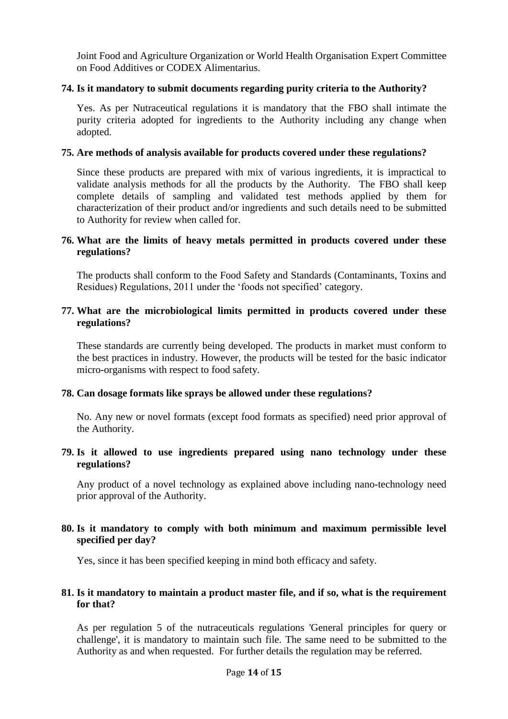Joint Food and Agriculture Organization or World Health Organisation Expert Committee on Food Additives or CODEX Alimentarius.

#### **74. Is it mandatory to submit documents regarding purity criteria to the Authority?**

Yes. As per Nutraceutical regulations it is mandatory that the FBO shall intimate the purity criteria adopted for ingredients to the Authority including any change when adopted.

#### **75. Are methods of analysis available for products covered under these regulations?**

Since these products are prepared with mix of various ingredients, it is impractical to validate analysis methods for all the products by the Authority. The FBO shall keep complete details of sampling and validated test methods applied by them for characterization of their product and/or ingredients and such details need to be submitted to Authority for review when called for.

## **76. What are the limits of heavy metals permitted in products covered under these regulations?**

The products shall conform to the Food Safety and Standards (Contaminants, Toxins and Residues) Regulations, 2011 under the "foods not specified" category.

# **77. What are the microbiological limits permitted in products covered under these regulations?**

These standards are currently being developed. The products in market must conform to the best practices in industry. However, the products will be tested for the basic indicator micro-organisms with respect to food safety.

# **78. Can dosage formats like sprays be allowed under these regulations?**

No. Any new or novel formats (except food formats as specified) need prior approval of the Authority.

## **79. Is it allowed to use ingredients prepared using nano technology under these regulations?**

Any product of a novel technology as explained above including nano-technology need prior approval of the Authority.

# **80. Is it mandatory to comply with both minimum and maximum permissible level specified per day?**

Yes, since it has been specified keeping in mind both efficacy and safety.

## **81. Is it mandatory to maintain a product master file, and if so, what is the requirement for that?**

As per regulation 5 of the nutraceuticals regulations 'General principles for query or challenge', it is mandatory to maintain such file. The same need to be submitted to the Authority as and when requested. For further details the regulation may be referred.